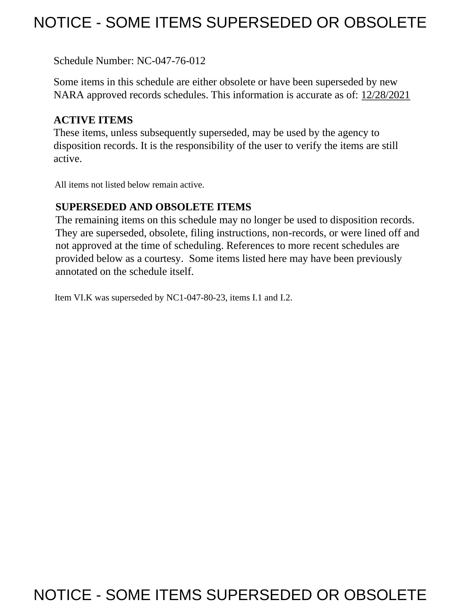# NOTICE - SOME ITEMS SUPERSEDED OR OBSOLETE

Schedule Number: NC-047-76-012

 Some items in this schedule are either obsolete or have been superseded by new NARA approved records schedules. This information is accurate as of: 12/28/2021

# **ACTIVE ITEMS**

 These items, unless subsequently superseded, may be used by the agency to disposition records. It is the responsibility of the user to verify the items are still active.

All items not listed below remain active.

## **SUPERSEDED AND OBSOLETE ITEMS**

 The remaining items on this schedule may no longer be used to disposition records. not approved at the time of scheduling. References to more recent schedules are provided below as a courtesy. Some items listed here may have been previously They are superseded, obsolete, filing instructions, non-records, or were lined off and annotated on the schedule itself.

Item VI.K was superseded by NC1-047-80-23, items I.1 and I.2.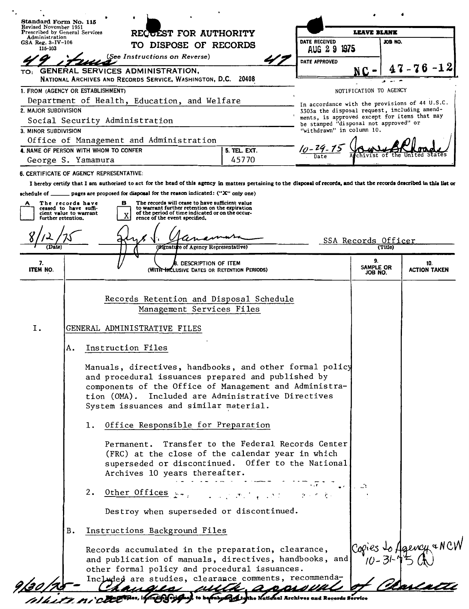| Standard Form No. 115                                                | Revised November 1951<br>RECUEST FOR AUTHORITY<br>Prescribed by General Services |                                                                          |                                                         |                                                                                                                                                                                        |                     | <b>LEAVE BLANK</b>                                                                                                                                                                                                                                                                                                                                                                                                                                                                                                                                                                                                                         |                                                                                                |                        |                                                                                       |                            |  |
|----------------------------------------------------------------------|----------------------------------------------------------------------------------|--------------------------------------------------------------------------|---------------------------------------------------------|----------------------------------------------------------------------------------------------------------------------------------------------------------------------------------------|---------------------|--------------------------------------------------------------------------------------------------------------------------------------------------------------------------------------------------------------------------------------------------------------------------------------------------------------------------------------------------------------------------------------------------------------------------------------------------------------------------------------------------------------------------------------------------------------------------------------------------------------------------------------------|------------------------------------------------------------------------------------------------|------------------------|---------------------------------------------------------------------------------------|----------------------------|--|
| Administration<br>GSA Reg. 3-IV-106<br>115-103                       |                                                                                  |                                                                          |                                                         | TO DISPOSE OF RECORDS                                                                                                                                                                  |                     |                                                                                                                                                                                                                                                                                                                                                                                                                                                                                                                                                                                                                                            | DATE RECEIVED<br>AUG 29 1975                                                                   |                        | JOB NO.                                                                               |                            |  |
|                                                                      |                                                                                  |                                                                          | (See Instructions on Reverse)                           |                                                                                                                                                                                        |                     |                                                                                                                                                                                                                                                                                                                                                                                                                                                                                                                                                                                                                                            | DATE APPROVED                                                                                  |                        |                                                                                       |                            |  |
| TO:                                                                  |                                                                                  | <b>GENERAL SERVICES ADMINISTRATION,</b>                                  |                                                         |                                                                                                                                                                                        |                     |                                                                                                                                                                                                                                                                                                                                                                                                                                                                                                                                                                                                                                            |                                                                                                | NC-                    |                                                                                       | $47 - 76 - 12$             |  |
|                                                                      |                                                                                  | NATIONAL ARCHIVES AND RECORDS SERVICE, WASHINGTON, D.C. 20408            |                                                         |                                                                                                                                                                                        |                     |                                                                                                                                                                                                                                                                                                                                                                                                                                                                                                                                                                                                                                            |                                                                                                |                        |                                                                                       |                            |  |
| 1. FROM (AGENCY OR ESTABLISHMENT)                                    |                                                                                  |                                                                          |                                                         |                                                                                                                                                                                        |                     |                                                                                                                                                                                                                                                                                                                                                                                                                                                                                                                                                                                                                                            |                                                                                                | NOTIFICATION TO AGENCY |                                                                                       |                            |  |
| Department of Health, Education, and Welfare<br>2. MAJOR SUBDIVISION |                                                                                  |                                                                          |                                                         |                                                                                                                                                                                        |                     |                                                                                                                                                                                                                                                                                                                                                                                                                                                                                                                                                                                                                                            | In accordance with the provisions of 44 U.S.C.<br>3303a the disposal request, including amend- |                        |                                                                                       |                            |  |
| Social Security Administration                                       |                                                                                  |                                                                          |                                                         |                                                                                                                                                                                        |                     |                                                                                                                                                                                                                                                                                                                                                                                                                                                                                                                                                                                                                                            |                                                                                                |                        | ments, is approved except for items that may<br>be stamped "disposal not approved" or |                            |  |
| 3. MINOR SUBDIVISION                                                 |                                                                                  |                                                                          |                                                         |                                                                                                                                                                                        |                     |                                                                                                                                                                                                                                                                                                                                                                                                                                                                                                                                                                                                                                            | "withdrawn" in column 10.                                                                      |                        |                                                                                       |                            |  |
| Office of Management and Administration                              |                                                                                  |                                                                          |                                                         |                                                                                                                                                                                        |                     |                                                                                                                                                                                                                                                                                                                                                                                                                                                                                                                                                                                                                                            |                                                                                                |                        |                                                                                       |                            |  |
| 4. NAME OF PERSON WITH WHOM TO CONFER<br>George S. Yamamura          |                                                                                  |                                                                          |                                                         |                                                                                                                                                                                        |                     | 5. TEL. EXT.<br>45770                                                                                                                                                                                                                                                                                                                                                                                                                                                                                                                                                                                                                      |                                                                                                |                        |                                                                                       |                            |  |
| 6. CERTIFICATE OF AGENCY REPRESENTATIVE:                             |                                                                                  |                                                                          |                                                         |                                                                                                                                                                                        |                     |                                                                                                                                                                                                                                                                                                                                                                                                                                                                                                                                                                                                                                            |                                                                                                |                        |                                                                                       |                            |  |
|                                                                      |                                                                                  |                                                                          |                                                         |                                                                                                                                                                                        |                     | I hereby certify that I am authorized to act for the head of this agency in matters pertaining to the disposal of records, and that the records described in this list or                                                                                                                                                                                                                                                                                                                                                                                                                                                                  |                                                                                                |                        |                                                                                       |                            |  |
| schedule of $\_\_$                                                   |                                                                                  | pages are proposed for disposal for the reason indicated: ("X" only one) |                                                         |                                                                                                                                                                                        |                     |                                                                                                                                                                                                                                                                                                                                                                                                                                                                                                                                                                                                                                            |                                                                                                |                        |                                                                                       |                            |  |
| further retention.                                                   | The records have<br>ceased to have suffi-<br>cient value to warrant              |                                                                          | в                                                       | The records will cease to have sufficient value<br>to warrant further retention on the expiration<br>of the period of time indicated or on the occur-<br>rence of the event specified. |                     |                                                                                                                                                                                                                                                                                                                                                                                                                                                                                                                                                                                                                                            |                                                                                                |                        |                                                                                       |                            |  |
| Date)                                                                |                                                                                  |                                                                          |                                                         | (Mgnature of Agency Representative)                                                                                                                                                    |                     |                                                                                                                                                                                                                                                                                                                                                                                                                                                                                                                                                                                                                                            |                                                                                                | SSA Records Officer    | (Title)                                                                               |                            |  |
|                                                                      |                                                                                  |                                                                          |                                                         |                                                                                                                                                                                        |                     |                                                                                                                                                                                                                                                                                                                                                                                                                                                                                                                                                                                                                                            |                                                                                                | 9.                     |                                                                                       |                            |  |
| 7.<br>ITEM NO.                                                       |                                                                                  |                                                                          |                                                         |                                                                                                                                                                                        | DESCRIPTION OF ITEM | (WITR INCLUSIVE DATES OR RETENTION PERIODS)                                                                                                                                                                                                                                                                                                                                                                                                                                                                                                                                                                                                |                                                                                                | SAMPLE OR<br>JOB NO.   |                                                                                       | 10.<br><b>ACTION TAKEN</b> |  |
| Ι.                                                                   |                                                                                  | GENERAL ADMINISTRATIVE FILES                                             |                                                         |                                                                                                                                                                                        |                     | Records Retention and Disposal Schedule<br>Management Services Files                                                                                                                                                                                                                                                                                                                                                                                                                                                                                                                                                                       |                                                                                                |                        |                                                                                       |                            |  |
|                                                                      | Α.                                                                               | Instruction Files                                                        |                                                         |                                                                                                                                                                                        |                     |                                                                                                                                                                                                                                                                                                                                                                                                                                                                                                                                                                                                                                            |                                                                                                |                        |                                                                                       |                            |  |
|                                                                      |                                                                                  | ı.<br>2.                                                                 | Archives 10 years thereafter.<br>Other Offices $\cdots$ |                                                                                                                                                                                        |                     | Manuals, directives, handbooks, and other formal policy<br>and procedural issuances prepared and published by<br>components of the Office of Management and Administra-<br>tion (OMA). Included are Administrative Directives<br>System issuances and similar material.<br>Office Responsible for Preparation<br>Permanent. Transfer to the Federal Records Center<br>(FRC) at the close of the calendar year in which<br>superseded or discontinued. Offer to the National<br>$\mathcal{L}^{\mathcal{A}}$ and $\mathcal{L}^{\mathcal{A}}$ . The set of the set of $\mathcal{L}^{\mathcal{A}}$<br>Destroy when superseded or discontinued. |                                                                                                |                        |                                                                                       |                            |  |
|                                                                      | B.                                                                               | Instructions Background Files                                            |                                                         |                                                                                                                                                                                        |                     |                                                                                                                                                                                                                                                                                                                                                                                                                                                                                                                                                                                                                                            |                                                                                                |                        |                                                                                       |                            |  |
|                                                                      |                                                                                  |                                                                          |                                                         |                                                                                                                                                                                        |                     | Records accumulated in the preparation, clearance,<br>and publication of manuals, directives, handbooks, and<br>other formal policy and procedural issuances.<br>Included are studies, clearance comments, recommenda-<br>audis with app                                                                                                                                                                                                                                                                                                                                                                                                   |                                                                                                |                        |                                                                                       |                            |  |
|                                                                      |                                                                                  |                                                                          |                                                         |                                                                                                                                                                                        |                     | of Mage Thes, including original, to be ruby of the National Archives and Records Service                                                                                                                                                                                                                                                                                                                                                                                                                                                                                                                                                  |                                                                                                |                        |                                                                                       |                            |  |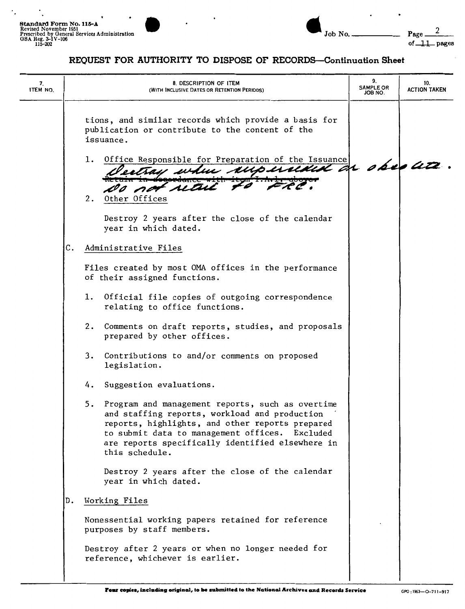$\cdot$ 

 $\overline{\phantom{a}}$ 

 $\ddot{\phantom{0}}$ 

 $\bullet$ 

| 7.<br>ITEM NO. | 8. DESCRIPTION OF ITEM<br>(WITH INCLUSIVE DATES OR RETENTION PERIODS)                                                                                                                                                                                                              | 9.<br><b>SAMPLE OR</b><br>ON 8OL. | 10.<br><b>ACTION TAKEN</b> |
|----------------|------------------------------------------------------------------------------------------------------------------------------------------------------------------------------------------------------------------------------------------------------------------------------------|-----------------------------------|----------------------------|
|                | tions, and similar records which provide a basis for<br>publication or contribute to the content of the<br>issuance.<br>1. Office Responsible for Preparation of the Issuance                                                                                                      |                                   |                            |
|                | estray when rupersided on observe<br>Do not wait to FRC<br>2. Other Offices                                                                                                                                                                                                        |                                   |                            |
|                | Destroy 2 years after the close of the calendar<br>year in which dated.                                                                                                                                                                                                            |                                   |                            |
|                | с.<br>Administrative Files                                                                                                                                                                                                                                                         |                                   |                            |
|                | Files created by most OMA offices in the performance<br>of their assigned functions.                                                                                                                                                                                               |                                   |                            |
|                | Official file copies of outgoing correspondence<br>1.<br>relating to office functions.                                                                                                                                                                                             |                                   |                            |
|                | 2.<br>Comments on draft reports, studies, and proposals<br>prepared by other offices.                                                                                                                                                                                              |                                   |                            |
|                | Contributions to and/or comments on proposed<br>3.<br>legislation.                                                                                                                                                                                                                 |                                   |                            |
|                | Suggestion evaluations.<br>4.                                                                                                                                                                                                                                                      |                                   |                            |
|                | 5.<br>Program and management reports, such as overtime<br>and staffing reports, workload and production<br>reports, highlights, and other reports prepared<br>to submit data to management offices. Excluded<br>are reports specifically identified elsewhere in<br>this schedule. |                                   |                            |
|                | Destroy 2 years after the close of the calendar<br>year in which dated.                                                                                                                                                                                                            |                                   |                            |
|                | Working Files<br>D.                                                                                                                                                                                                                                                                |                                   |                            |
|                | Nonessential working papers retained for reference<br>purposes by staff members.                                                                                                                                                                                                   |                                   |                            |
|                | Destroy after 2 years or when no longer needed for<br>reference, whichever is earlier.                                                                                                                                                                                             |                                   |                            |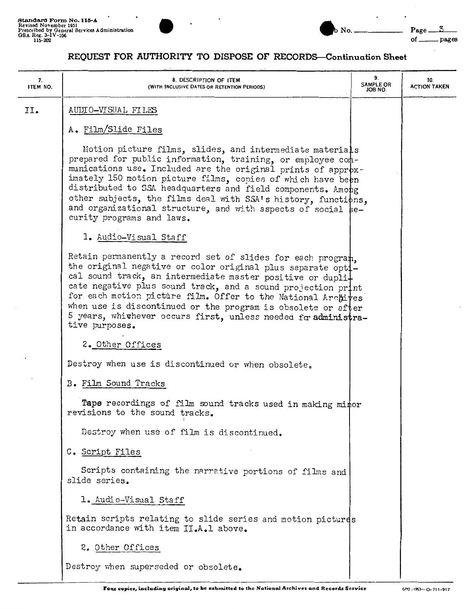

| 7.<br>ITEM NO. | 8. DESCRIPTION OF ITEM<br>(WITH INCLUSIVE DATES OR RETENTION PERIODS)                                                                                                                                                                                                                                                                                                                                                                                                               | 9.<br><b>SAMPLE OR</b><br>JOB NO. | 10.<br><b>ACTION TAKEN</b> |
|----------------|-------------------------------------------------------------------------------------------------------------------------------------------------------------------------------------------------------------------------------------------------------------------------------------------------------------------------------------------------------------------------------------------------------------------------------------------------------------------------------------|-----------------------------------|----------------------------|
| II.            | AUDIO-VISUAL FILES                                                                                                                                                                                                                                                                                                                                                                                                                                                                  |                                   |                            |
|                | A. Film/Slide Files                                                                                                                                                                                                                                                                                                                                                                                                                                                                 |                                   |                            |
|                | Motion picture films, slides, and intermediate materials<br>prepared for public information, training, or employee com-<br>munications use. Included are the original prints of approx-<br>imately 150 motion picture films, copies of which have been<br>distributed to SSA headquarters and field components. Among<br>other subjects, the films deal with SSA's history, functions,<br>and organizational structure, and with aspects of social be-<br>curity programs and laws. |                                   |                            |
|                | 1. Audio-Visual Staff                                                                                                                                                                                                                                                                                                                                                                                                                                                               |                                   |                            |
|                | Retain permanently a record set of slides for each program.<br>the original negative or color original plus separate opti-<br>cal sound track, an intermediate master positive or dupli-<br>cate negative plus sound track, and a sound projection print<br>for each motion picture film. Offer to the National Archives<br>when use is discontinued or the program is obsolete or after<br>5 years, whithever occurs first, unless needed for administra-<br>tive purposes.        |                                   |                            |
|                | 2. Other Offices                                                                                                                                                                                                                                                                                                                                                                                                                                                                    |                                   |                            |
|                | Destroy when use is discontinued or when obsolete.                                                                                                                                                                                                                                                                                                                                                                                                                                  |                                   |                            |
|                | B. Film Sound Tracks                                                                                                                                                                                                                                                                                                                                                                                                                                                                |                                   |                            |
|                | Tape recordings of film sound tracks used in making mitor<br>revisions to the sound tracks.                                                                                                                                                                                                                                                                                                                                                                                         |                                   |                            |
|                | Destroy when use of film is discontinued.                                                                                                                                                                                                                                                                                                                                                                                                                                           |                                   |                            |
|                | C. Script Files                                                                                                                                                                                                                                                                                                                                                                                                                                                                     |                                   |                            |
|                | Scripts containing the narrative portions of films and<br>slide series.                                                                                                                                                                                                                                                                                                                                                                                                             |                                   |                            |
|                | 1. Audio-Visual Staff                                                                                                                                                                                                                                                                                                                                                                                                                                                               |                                   |                            |
|                | Retain scripts relating to slide series and motion pictures<br>in accordance with item II.A.1 above.                                                                                                                                                                                                                                                                                                                                                                                |                                   |                            |
|                | 2. Other Offices                                                                                                                                                                                                                                                                                                                                                                                                                                                                    |                                   |                            |
|                | Destroy when superseded or obsolete.                                                                                                                                                                                                                                                                                                                                                                                                                                                |                                   |                            |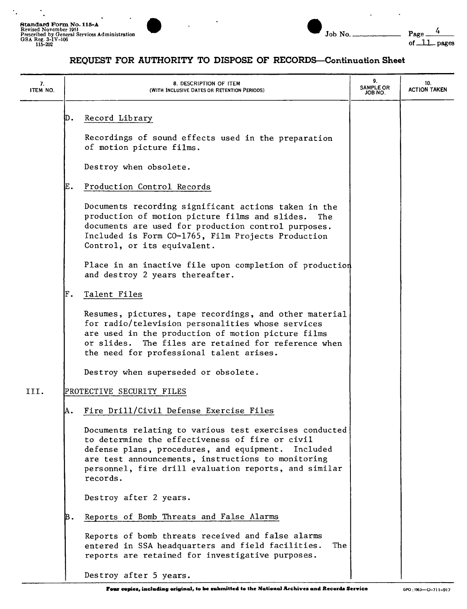$\ddot{\cdot}$ 

 $\ddot{\phantom{1}}$ 



| Job | N |
|-----|---|

 $\ddot{\phantom{a}}$ 

 $\sim$ 

| 7.<br>ITEM NO. |    | 8. DESCRIPTION OF ITEM<br>(WITH INCLUSIVE DATES OR RETENTION PERIODS)                                                                                                                                                                                                                         | 9.<br><b>SAMPLE OR</b><br>JOB NO. | 10.<br><b>ACTION TAKEN</b> |
|----------------|----|-----------------------------------------------------------------------------------------------------------------------------------------------------------------------------------------------------------------------------------------------------------------------------------------------|-----------------------------------|----------------------------|
|                | D. | Record Library                                                                                                                                                                                                                                                                                |                                   |                            |
|                |    | Recordings of sound effects used in the preparation<br>of motion picture films.                                                                                                                                                                                                               |                                   |                            |
|                |    | Destroy when obsolete.                                                                                                                                                                                                                                                                        |                                   |                            |
|                | Е. | Production Control Records                                                                                                                                                                                                                                                                    |                                   |                            |
|                |    | Documents recording significant actions taken in the<br>production of motion picture films and slides.<br>The .<br>documents are used for production control purposes.<br>Included is Form CO-1765, Film Projects Production<br>Control, or its equivalent.                                   |                                   |                            |
|                |    | Place in an inactive file upon completion of production<br>and destroy 2 years thereafter.                                                                                                                                                                                                    |                                   |                            |
|                | F. | Talent Files                                                                                                                                                                                                                                                                                  |                                   |                            |
|                |    | Resumes, pictures, tape recordings, and other material<br>for radio/television personalities whose services<br>are used in the production of motion picture films<br>The files are retained for reference when<br>or slides.<br>the need for professional talent arises.                      |                                   |                            |
|                |    | Destroy when superseded or obsolete.                                                                                                                                                                                                                                                          |                                   |                            |
| III.           |    | PROTECTIVE SECURITY FILES                                                                                                                                                                                                                                                                     |                                   |                            |
|                | А. | Fire Drill/Civil Defense Exercise Files                                                                                                                                                                                                                                                       |                                   |                            |
|                |    | Documents relating to various test exercises conducted<br>to determine the effectiveness of fire or civil<br>defense plans, procedures, and equipment.<br>Included<br>are test announcements, instructions to monitoring<br>personnel, fire drill evaluation reports, and similar<br>records. |                                   |                            |
|                |    | Destroy after 2 years.                                                                                                                                                                                                                                                                        |                                   |                            |
|                | В. | Reports of Bomb Threats and False Alarms                                                                                                                                                                                                                                                      |                                   |                            |
|                |    | Reports of bomb threats received and false alarms<br>entered in SSA headquarters and field facilities.<br>The<br>reports are retained for investigative purposes.                                                                                                                             |                                   |                            |
|                |    | Destroy after 5 years.                                                                                                                                                                                                                                                                        |                                   |                            |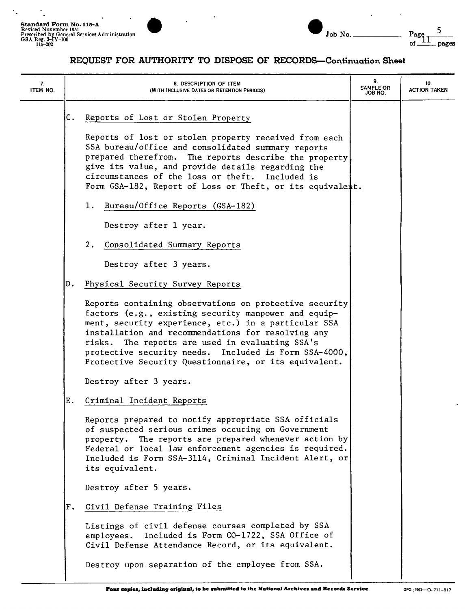$\ddot{\cdot}$ 

J.



| Job |  |
|-----|--|

| 7.<br>ITEM NO. | 8. DESCRIPTION OF ITEM<br>(WITH INCLUSIVE DATES OR RETENTION PERIODS)                                                                                                                                                                                                                                                                                                                                | 9.<br><b>SAMPLE OR</b><br>JOB NO. | 10.<br><b>ACTION TAKEN</b> |
|----------------|------------------------------------------------------------------------------------------------------------------------------------------------------------------------------------------------------------------------------------------------------------------------------------------------------------------------------------------------------------------------------------------------------|-----------------------------------|----------------------------|
|                | C.<br>Reports of Lost or Stolen Property<br>Reports of lost or stolen property received from each<br>SSA bureau/office and consolidated summary reports<br>prepared therefrom. The reports describe the property<br>give its value, and provide details regarding the<br>circumstances of the loss or theft. Included is<br>Form GSA-182, Report of Loss or Theft, or its equivalent.                |                                   |                            |
|                | 1. Bureau/Office Reports (GSA-182)                                                                                                                                                                                                                                                                                                                                                                   |                                   |                            |
|                | Destroy after 1 year.<br>2.<br>Consolidated Summary Reports<br>Destroy after 3 years.                                                                                                                                                                                                                                                                                                                |                                   |                            |
|                | Physical Security Survey Reports<br>D.                                                                                                                                                                                                                                                                                                                                                               |                                   |                            |
|                | Reports containing observations on protective security<br>factors (e.g., existing security manpower and equip-<br>ment, security experience, etc.) in a particular SSA<br>installation and recommendations for resolving any<br>The reports are used in evaluating SSA's<br>risks.<br>protective security needs. Included is Form SSA-4000,<br>Protective Security Questionnaire, or its equivalent. |                                   |                            |
|                | Destroy after 3 years.                                                                                                                                                                                                                                                                                                                                                                               |                                   |                            |
|                | Ε.<br>Criminal Incident Reports                                                                                                                                                                                                                                                                                                                                                                      |                                   |                            |
|                | Reports prepared to notify appropriate SSA officials<br>of suspected serious crimes occuring on Government<br>property. The reports are prepared whenever action by<br>Federal or local law enforcement agencies is required.<br>Included is Form SSA-3114, Criminal Incident Alert, or<br>its equivalent.                                                                                           |                                   |                            |
|                | Destroy after 5 years.                                                                                                                                                                                                                                                                                                                                                                               |                                   |                            |
|                | Civil Defense Training Files<br>$\mathbf F$ .                                                                                                                                                                                                                                                                                                                                                        |                                   |                            |
|                | Listings of civil defense courses completed by SSA<br>Included is Form CO-1722, SSA Office of<br>employees.<br>Civil Defense Attendance Record, or its equivalent.                                                                                                                                                                                                                                   |                                   |                            |
|                | Destroy upon separation of the employee from SSA.                                                                                                                                                                                                                                                                                                                                                    |                                   |                            |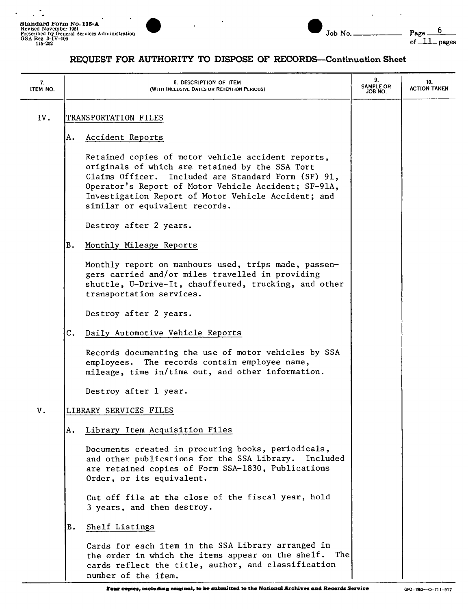$\mathcal{L}^{\mathcal{L}}$  .

 $\ddot{\phantom{0}}$ 





| 7.<br>ITEM NO. | 8. DESCRIPTION OF ITEM<br>(WITH INCLUSIVE DATES OR RETENTION PERIODS)                                                                                                                                                                                                                                         | 9.<br><b>SAMPLE OR</b><br>JOB NO. | 10.<br><b>ACTION TAKEN</b> |
|----------------|---------------------------------------------------------------------------------------------------------------------------------------------------------------------------------------------------------------------------------------------------------------------------------------------------------------|-----------------------------------|----------------------------|
| IV.            | TRANSPORTATION FILES                                                                                                                                                                                                                                                                                          |                                   |                            |
|                | Accident Reports<br>ΙA.                                                                                                                                                                                                                                                                                       |                                   |                            |
|                | Retained copies of motor vehicle accident reports,<br>originals of which are retained by the SSA Tort<br>Claims Officer. Included are Standard Form (SF) 91,<br>Operator's Report of Motor Vehicle Accident; SF-91A,<br>Investigation Report of Motor Vehicle Accident; and<br>similar or equivalent records. |                                   |                            |
|                | Destroy after 2 years.                                                                                                                                                                                                                                                                                        |                                   |                            |
|                | <b>B.</b><br>Monthly Mileage Reports                                                                                                                                                                                                                                                                          |                                   |                            |
|                | Monthly report on manhours used, trips made, passen-<br>gers carried and/or miles travelled in providing<br>shuttle, U-Drive-It, chauffeured, trucking, and other<br>transportation services.                                                                                                                 |                                   |                            |
|                | Destroy after 2 years.                                                                                                                                                                                                                                                                                        |                                   |                            |
|                | С.<br>Daily Automotive Vehicle Reports                                                                                                                                                                                                                                                                        |                                   |                            |
|                | Records documenting the use of motor vehicles by SSA<br>employees. The records contain employee name,<br>mileage, time in/time out, and other information.                                                                                                                                                    |                                   |                            |
|                | Destroy after 1 year.                                                                                                                                                                                                                                                                                         |                                   |                            |
| V.             | LIBRARY SERVICES FILES                                                                                                                                                                                                                                                                                        |                                   |                            |
|                | Library Item Acquisition Files<br>Α.                                                                                                                                                                                                                                                                          |                                   |                            |
|                | Documents created in procuring books, periodicals,<br>and other publications for the SSA Library.<br>Included<br>are retained copies of Form SSA-1830, Publications<br>Order, or its equivalent.                                                                                                              |                                   |                            |
|                | Cut off file at the close of the fiscal year, hold<br>3 years, and then destroy.                                                                                                                                                                                                                              |                                   |                            |
|                | B.<br>Shelf Listings                                                                                                                                                                                                                                                                                          |                                   |                            |
|                | Cards for each item in the SSA Library arranged in<br>the order in which the items appear on the shelf. The<br>cards reflect the title, author, and classification<br>number of the ifem.                                                                                                                     |                                   |                            |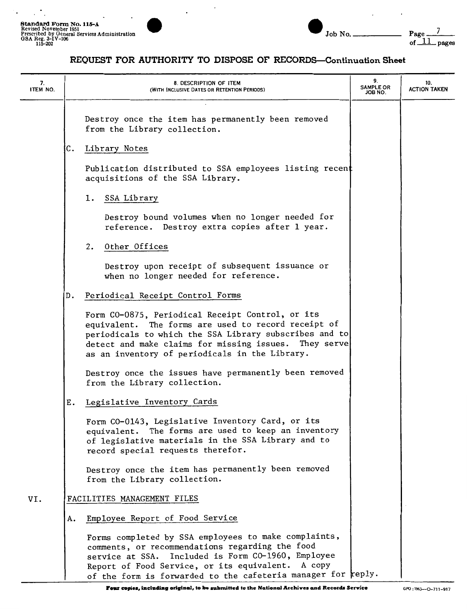$\mathbb{R}^{\mathbb{Z}_2}$ 

 $\ddot{\phantom{0}}$ 



 $\cdot$ 

 $\overline{a}$ 

## **REQUEST FOR AUTHORITY TO DISPOSE OF RECORDS-Continuation Sheet**

 $\overline{\phantom{a}}$ 

 $\,$  .

| 7.<br>ITEM NO. |    | 8. DESCRIPTION OF ITEM<br>(WITH INCLUSIVE DATES OR RETENTION PERIODS)                                                                                                                                                                                                                    | 9.<br><b>SAMPLE OR</b><br>JOB NO. | 10.<br><b>ACTION TAKEN</b> |
|----------------|----|------------------------------------------------------------------------------------------------------------------------------------------------------------------------------------------------------------------------------------------------------------------------------------------|-----------------------------------|----------------------------|
|                |    | Destroy once the item has permanently been removed<br>from the Library collection.                                                                                                                                                                                                       |                                   |                            |
|                | с. | Library Notes                                                                                                                                                                                                                                                                            |                                   |                            |
|                |    | Publication distributed to SSA employees listing recent<br>acquisitions of the SSA Library.                                                                                                                                                                                              |                                   |                            |
|                |    | SSA Library<br>1.                                                                                                                                                                                                                                                                        |                                   |                            |
|                |    | Destroy bound volumes when no longer needed for<br>reference. Destroy extra copies after 1 year.                                                                                                                                                                                         |                                   |                            |
|                |    | Other Offices<br>2.                                                                                                                                                                                                                                                                      |                                   |                            |
|                |    | Destroy upon receipt of subsequent issuance or<br>when no longer needed for reference.                                                                                                                                                                                                   |                                   |                            |
|                | D. | Periodical Receipt Control Forms                                                                                                                                                                                                                                                         |                                   |                            |
|                |    | Form CO-0875, Periodical Receipt Control, or its<br>equivalent. The forms are used to record receipt of<br>periodicals to which the SSA Library subscribes and to<br>detect and make claims for missing issues. They serve<br>as an inventory of periodicals in the Library.             |                                   |                            |
|                |    | Destroy once the issues have permanently been removed<br>from the Library collection.                                                                                                                                                                                                    |                                   |                            |
|                | Ε. | Legislative Inventory Cards                                                                                                                                                                                                                                                              |                                   |                            |
|                |    | Form CO-0143, Legislative Inventory Card, or its<br>equivalent. The forms are used to keep an inventory<br>of legislative materials in the SSA Library and to<br>record special requests therefor.                                                                                       |                                   |                            |
|                |    | Destroy once the item has permanently been removed<br>from the Library collection.                                                                                                                                                                                                       |                                   |                            |
| VI.            |    | FACILITIES MANAGEMENT FILES                                                                                                                                                                                                                                                              |                                   |                            |
|                | А. | Employee Report of Food Service                                                                                                                                                                                                                                                          |                                   |                            |
|                |    | Forms completed by SSA employees to make complaints,<br>comments, or recommendations regarding the food<br>Included is Form CO-1960, Employee<br>service at SSA.<br>Report of Food Service, or its equivalent.<br>A copy<br>of the form is forwarded to the cafeteria manager for reply. |                                   |                            |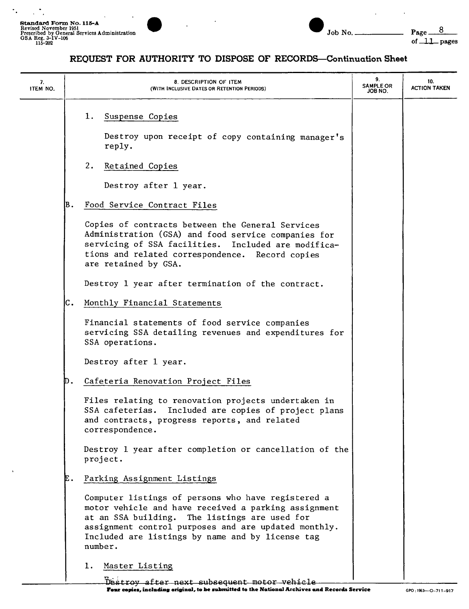$\mathcal{L}_{\mathcal{A}}$ 

 $\star_{\perp}$ 





J

**REQUEST FOR AUTHORITY TO DISPOSE OF RECORDS-Continuation Sheet** 

| 7.<br>ITEM NO. | 8. DESCRIPTION OF ITEM<br>(WITH INCLUSIVE DATES OR RETENTION PERIODS)                                                                                                                                                                                                              | 9.<br>SAMPLE OR<br>JOB NO. | 10.<br><b>ACTION TAKEN</b> |
|----------------|------------------------------------------------------------------------------------------------------------------------------------------------------------------------------------------------------------------------------------------------------------------------------------|----------------------------|----------------------------|
|                | 1.<br>Suspense Copies<br>Destroy upon receipt of copy containing manager's<br>reply.                                                                                                                                                                                               |                            |                            |
|                | 2.<br>Retained Copies<br>Destroy after 1 year.                                                                                                                                                                                                                                     |                            |                            |
|                | B.<br>Food Service Contract Files                                                                                                                                                                                                                                                  |                            |                            |
|                | Copies of contracts between the General Services<br>Administration (GSA) and food service companies for<br>servicing of SSA facilities. Included are modifica-<br>tions and related correspondence. Record copies<br>are retained by GSA.                                          |                            |                            |
|                | Destroy 1 year after termination of the contract.                                                                                                                                                                                                                                  |                            |                            |
|                | C.<br>Monthly Financial Statements                                                                                                                                                                                                                                                 |                            |                            |
|                | Financial statements of food service companies<br>servicing SSA detailing revenues and expenditures for<br>SSA operations.                                                                                                                                                         |                            |                            |
|                | Destroy after 1 year.                                                                                                                                                                                                                                                              |                            |                            |
|                | Cafeteria Renovation Project Files<br>D.                                                                                                                                                                                                                                           |                            |                            |
|                | Files relating to renovation projects undertaken in<br>SSA cafeterias. Included are copies of project plans<br>and contracts, progress reports, and related<br>correspondence.                                                                                                     |                            |                            |
|                | Destroy 1 year after completion or cancellation of the<br>project.                                                                                                                                                                                                                 |                            |                            |
|                | Parking Assignment Listings<br>E.                                                                                                                                                                                                                                                  |                            |                            |
|                | Computer listings of persons who have registered a<br>motor vehicle and have received a parking assignment<br>at an SSA building. The listings are used for<br>assignment control purposes and are updated monthly.<br>Included are listings by name and by license tag<br>number. |                            |                            |
|                | 1. Master Listing<br>Destroy after next subsequent motor vehicle                                                                                                                                                                                                                   |                            |                            |

**r-- copies, uacl•diD• original, to be 11111,mitted to the National Archives and Records Service** GPO, 1963-0-711-917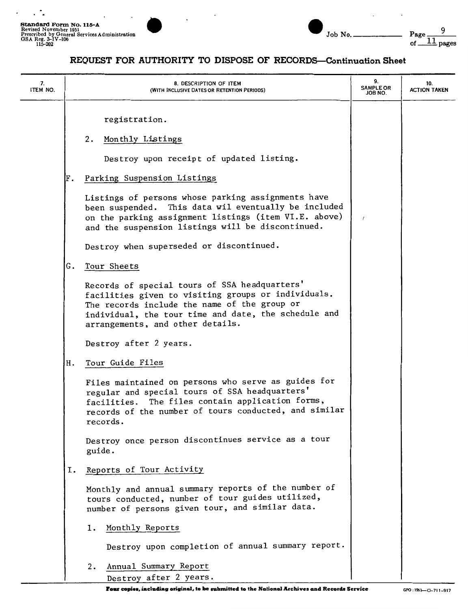$\ddot{\phantom{1}}$ 

 $\cdot$ 



|  | Jo |
|--|----|

 $\overline{a}$ 

 $\ddot{\phantom{a}}$ 

| 7.<br>ITEM NO. | 8. DESCRIPTION OF ITEM<br>(WITH INCLUSIVE DATES OR RETENTION PERIODS)                                                                                                                                                                            | 9.<br><b>SAMPLE OR</b><br>JOB NO. | 10.<br><b>ACTION TAKEN</b> |
|----------------|--------------------------------------------------------------------------------------------------------------------------------------------------------------------------------------------------------------------------------------------------|-----------------------------------|----------------------------|
|                | registration.<br>2.<br>Monthly Listings                                                                                                                                                                                                          |                                   |                            |
|                | Destroy upon receipt of updated listing.                                                                                                                                                                                                         |                                   |                            |
|                | Parking Suspension Listings<br>F.                                                                                                                                                                                                                |                                   |                            |
|                | Listings of persons whose parking assignments have<br>been suspended. This data wil eventually be included<br>on the parking assignment listings (item VI.E. above)<br>and the suspension listings will be discontinued.                         |                                   |                            |
|                | Destroy when superseded or discontinued.                                                                                                                                                                                                         |                                   |                            |
|                | G.<br>Tour Sheets                                                                                                                                                                                                                                |                                   |                            |
|                | Records of special tours of SSA headquarters'<br>facilities given to visiting groups or individuals.<br>The records include the name of the group or<br>individual, the tour time and date, the schedule and<br>arrangements, and other details. |                                   |                            |
|                | Destroy after 2 years.                                                                                                                                                                                                                           |                                   |                            |
|                | Tour Guide Files<br>Η.                                                                                                                                                                                                                           |                                   |                            |
|                | Files maintained on persons who serve as guides for<br>regular and special tours of SSA headquarters'<br>The files contain application forms,<br>facilities.<br>records of the number of tours conducted, and similar<br>records.                |                                   |                            |
|                | Destroy once person discontinues service as a tour<br>guide.                                                                                                                                                                                     |                                   |                            |
|                | Reports of Tour Activity<br>Ι.                                                                                                                                                                                                                   |                                   |                            |
|                | Monthly and annual summary reports of the number of<br>tours conducted, number of tour guides utilized,<br>number of persons given tour, and similar data.                                                                                       |                                   |                            |
|                | Monthly Reports<br>1.                                                                                                                                                                                                                            |                                   |                            |
|                | Destroy upon completion of annual summary report.                                                                                                                                                                                                |                                   |                            |
|                | Annual Summary Report<br>2.<br>Destroy after 2 years.                                                                                                                                                                                            |                                   |                            |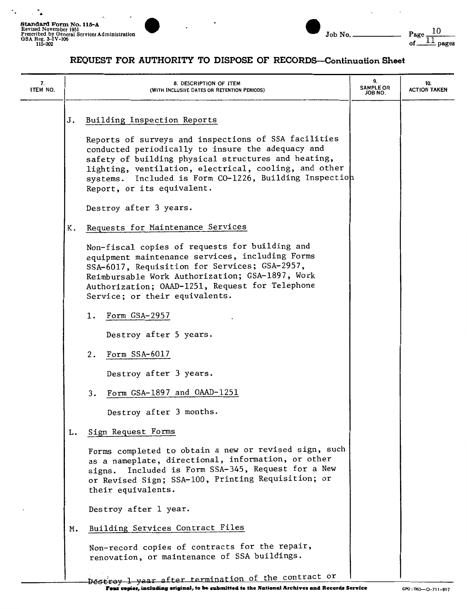۰.

 $\ddot{\phantom{a}}$  $\overline{\phantom{a}}$ 



#### **REQUEST FOR AUTHORITY TO DISPOSE OF RECORDS-Continuation Sheet**

| 7.<br>ITEM NO. |    | 8. DESCRIPTION OF ITEM<br>(WITH INCLUSIVE DATES OR RETENTION PERIODS)                                                                                                                                                                                                                                                | 9.<br><b>SAMPLE OR</b><br>JOB NO. | 10.<br><b>ACTION TAKEN</b> |
|----------------|----|----------------------------------------------------------------------------------------------------------------------------------------------------------------------------------------------------------------------------------------------------------------------------------------------------------------------|-----------------------------------|----------------------------|
|                | J. | Building Inspection Reports                                                                                                                                                                                                                                                                                          |                                   |                            |
|                |    | Reports of surveys and inspections of SSA facilities<br>conducted periodically to insure the adequacy and<br>safety of building physical structures and heating,<br>lighting, ventilation, electrical, cooling, and other<br>Included is Form CO-1226, Building Inspection<br>systems.<br>Report, or its equivalent. |                                   |                            |
|                |    | Destroy after 3 years.                                                                                                                                                                                                                                                                                               |                                   |                            |
|                | Κ. | Requests for Maintenance Services                                                                                                                                                                                                                                                                                    |                                   |                            |
|                |    | Non-fiscal copies of requests for building and<br>equipment maintenance services, including Forms<br>SSA-6017, Requisition for Services; GSA-2957,<br>Reimbursable Work Authorization; GSA-1897, Work<br>Authorization; OAAD-1251, Request for Telephone<br>Service; or their equivalents.                           |                                   |                            |
|                |    | Form GSA-2957<br>1.                                                                                                                                                                                                                                                                                                  |                                   |                            |
|                |    | Destroy after 5 years.                                                                                                                                                                                                                                                                                               |                                   |                            |
|                |    | Form SSA-6017<br>2.                                                                                                                                                                                                                                                                                                  |                                   |                            |
|                |    | Destroy after 3 years.                                                                                                                                                                                                                                                                                               |                                   |                            |
|                |    | Form GSA-1897 and OAAD-1251<br>3.                                                                                                                                                                                                                                                                                    |                                   |                            |
|                |    | Destroy after 3 months.                                                                                                                                                                                                                                                                                              |                                   |                            |
|                | L. | Sign Request Forms                                                                                                                                                                                                                                                                                                   |                                   |                            |
|                |    | Forms completed to obtain a new or revised sign, such<br>as a nameplate, directional, information, or other<br>signs. Included is Form SSA-345, Request for a New<br>or Revised Sign; SSA-100, Printing Requisition; or<br>their equivalents.                                                                        |                                   |                            |
|                |    | Destroy after 1 year.                                                                                                                                                                                                                                                                                                |                                   |                            |
|                | м. | Building Services Contract Files                                                                                                                                                                                                                                                                                     |                                   |                            |
|                |    | Non-record copies of contracts for the repair,<br>renovation, or maintenance of SSA buildings.                                                                                                                                                                                                                       |                                   |                            |
|                |    | heatroy 1 year after termination of the contract or                                                                                                                                                                                                                                                                  |                                   |                            |

DEStroy 1 year after termination of the contract or 1<br>**Pour copies, including original, to be submitted to the National Archives and Records Service GPO: 1953—0-711-917**